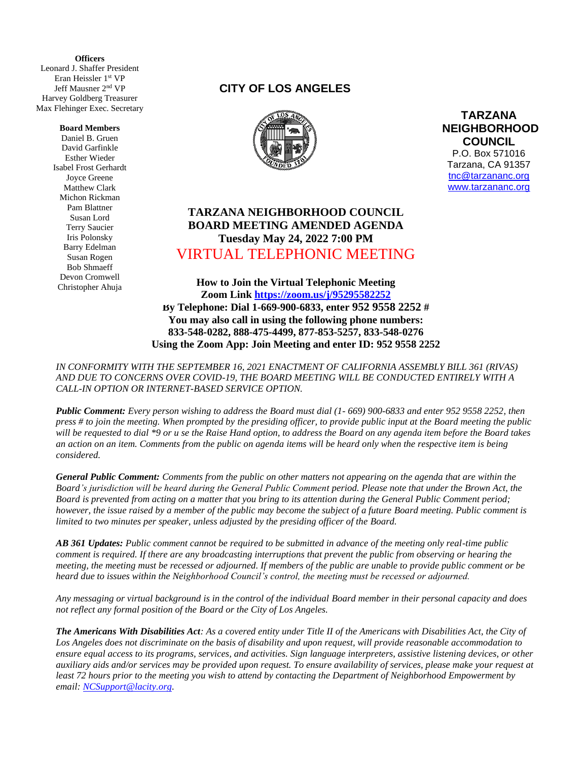**(** Leonard J. Shaffer President **Officers** Eran Heissler 1st VP Jeff Mausner 2 nd VP Harvey Goldberg Treasurer Max Flehinger Exec. Secretary

## **Board Members**

Daniel B. Gruen David Garfinkle Esther Wieder Isabel Frost Gerhardt Joyce Greene Matthew Clark Michon Rickman Pam Blattner Susan Lord Terry Saucier Iris Polonsky Barry Edelman Susan Rogen Bob Shmaeff Devon Cromwell Christopher Ahuja

## **CITY OF LOS ANGELES**



**TARZANA NEIGHBORHOOD COUNCIL**  P.O. Box 571016 Tarzana, CA 91357 [tnc@tarzananc.org](mailto:tnc@tarzananc.org) [www.tarzananc.org](http://www.tarzananc.org/)

## **TARZANA NEIGHBORHOOD COUNCIL BOARD MEETING AMENDED AGENDA Tuesday May 24, 2022 7:00 PM** VIRTUAL TELEPHONIC MEETING

**How to Join the Virtual Telephonic Meeting Zoom Link<https://zoom.us/j/95295582252> By Telephone: Dial 1-669-900-6833, enter 952 9558 2252 # You may also call in using the following phone numbers: 833-548-0282, 888-475-4499, 877-853-5257, 833-548-0276 Using the Zoom App: Join Meeting and enter ID: 952 9558 2252**

*IN CONFORMITY WITH THE SEPTEMBER 16, 2021 ENACTMENT OF CALIFORNIA ASSEMBLY BILL 361 (RIVAS) AND DUE TO CONCERNS OVER COVID-19, THE BOARD MEETING WILL BE CONDUCTED ENTIRELY WITH A CALL-IN OPTION OR INTERNET-BASED SERVICE OPTION.* 

*Public Comment: Every person wishing to address the Board must dial (1- 669) 900-6833 and enter 952 9558 2252, then press # to join the meeting. When prompted by the presiding officer, to provide public input at the Board meeting the public will be requested to dial \*9 or u se the Raise Hand option, to address the Board on any agenda item before the Board takes an action on an item. Comments from the public on agenda items will be heard only when the respective item is being considered.*

*General Public Comment: Comments from the public on other matters not appearing on the agenda that are within the Board's jurisdiction will be heard during the General Public Comment period. Please note that under the Brown Act, the Board is prevented from acting on a matter that you bring to its attention during the General Public Comment period; however, the issue raised by a member of the public may become the subject of a future Board meeting. Public comment is limited to two minutes per speaker, unless adjusted by the presiding officer of the Board.*

*AB 361 Updates: Public comment cannot be required to be submitted in advance of the meeting only real-time public comment is required. If there are any broadcasting interruptions that prevent the public from observing or hearing the meeting, the meeting must be recessed or adjourned. If members of the public are unable to provide public comment or be heard due to issues within the Neighborhood Council's control, the meeting must be recessed or adjourned.*

*Any messaging or virtual background is in the control of the individual Board member in their personal capacity and does not reflect any formal position of the Board or the City of Los Angeles.*

*The Americans With Disabilities Act: As a covered entity under Title II of the Americans with Disabilities Act, the City of Los Angeles does not discriminate on the basis of disability and upon request, will provide reasonable accommodation to ensure equal access to its programs, services, and activities. Sign language interpreters, assistive listening devices, or other auxiliary aids and/or services may be provided upon request. To ensure availability of services, please make your request at least 72 hours prior to the meeting you wish to attend by contacting the Department of Neighborhood Empowerment by email: [NCSupport@lacity.org.](mailto:NCSupport@lacity.org)*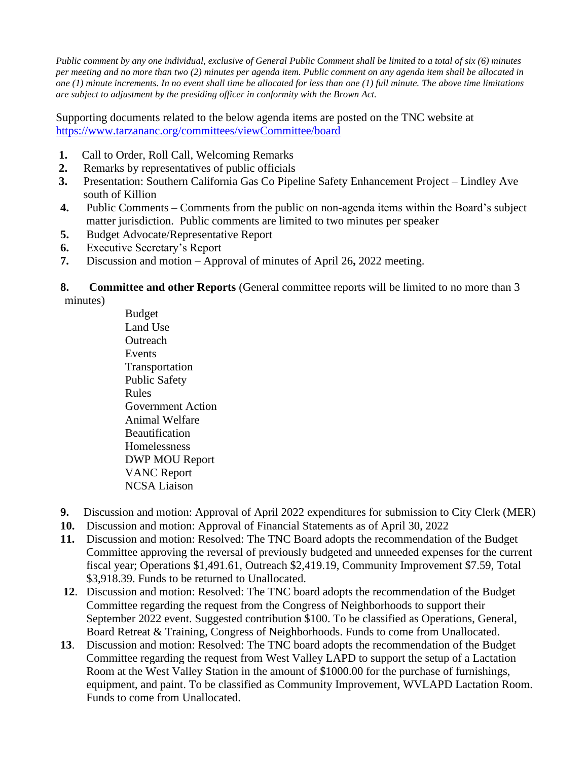*Public comment by any one individual, exclusive of General Public Comment shall be limited to a total of six (6) minutes per meeting and no more than two (2) minutes per agenda item. Public comment on any agenda item shall be allocated in one (1) minute increments. In no event shall time be allocated for less than one (1) full minute. The above time limitations are subject to adjustment by the presiding officer in conformity with the Brown Act.*

Supporting documents related to the below agenda items are posted on the TNC website at <https://www.tarzananc.org/committees/viewCommittee/board>

- **1.** Call to Order, Roll Call, Welcoming Remarks
- **2.** Remarks by representatives of public officials
- **3.** Presentation: Southern California Gas Co Pipeline Safety Enhancement Project Lindley Ave south of Killion
- **4.** Public Comments Comments from the public on non-agenda items within the Board's subject matter jurisdiction. Public comments are limited to two minutes per speaker
- **5.** Budget Advocate/Representative Report
- **6.** Executive Secretary's Report
- **7.** Discussion and motion Approval of minutes of April 26**,** 2022 meeting.

**8.** Committee and other Reports (General committee reports will be limited to no more than 3 minutes)

> Budget Land Use **Outreach** Events Transportation Public Safety Rules Government Action Animal Welfare Beautification Homelessness DWP MOU Report VANC Report NCSA Liaison

- **9.** Discussion and motion: Approval of April 2022 expenditures for submission to City Clerk (MER)
- **10.** Discussion and motion: Approval of Financial Statements as of April 30, 2022
- **11.** Discussion and motion: Resolved: The TNC Board adopts the recommendation of the Budget Committee approving the reversal of previously budgeted and unneeded expenses for the current fiscal year; Operations \$1,491.61, Outreach \$2,419.19, Community Improvement \$7.59, Total \$3,918.39. Funds to be returned to Unallocated.
- **12**. Discussion and motion: Resolved: The TNC board adopts the recommendation of the Budget Committee regarding the request from the Congress of Neighborhoods to support their September 2022 event. Suggested contribution \$100. To be classified as Operations, General, Board Retreat & Training, Congress of Neighborhoods. Funds to come from Unallocated.
- **13**. Discussion and motion: Resolved: The TNC board adopts the recommendation of the Budget Committee regarding the request from West Valley LAPD to support the setup of a Lactation Room at the West Valley Station in the amount of \$1000.00 for the purchase of furnishings, equipment, and paint. To be classified as Community Improvement, WVLAPD Lactation Room. Funds to come from Unallocated.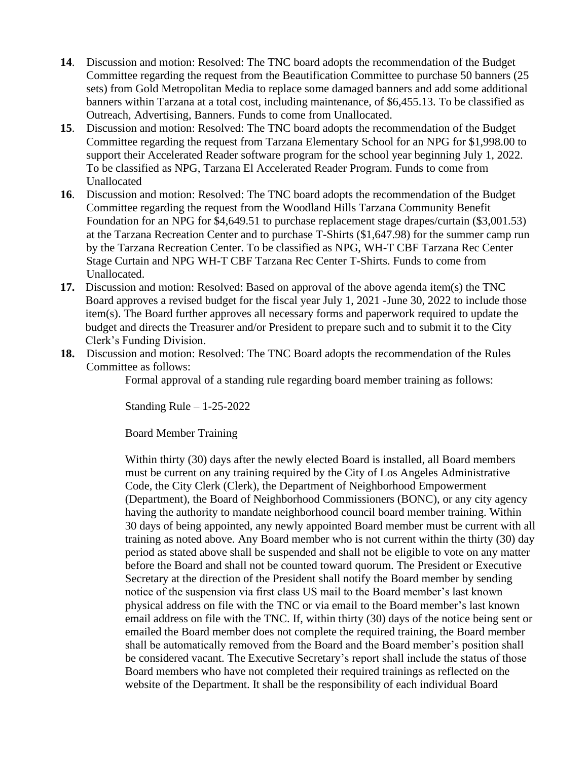- **[14](https://www.tarzananc.org/committees/viewCommittee/budget-&-finance-committee%2015)**. Discussion and motion: Resolved: The TNC board adopts the recommendation of the Budget Committee regarding the request from the Beautification Committee to purchase 50 banners (25 sets) from Gold Metropolitan Media to replace some damaged banners and add some additional banners within Tarzana at a total cost, including maintenance, of \$6,455.13. To be classified as Outreach, Advertising, Banners. Funds to come from Unallocated.
- **15**. Discussion and motion: Resolved: The TNC board adopts the recommendation of the Budget Committee regarding the request from Tarzana Elementary School for an NPG for \$1,998.00 to support their Accelerated Reader software program for the school year beginning July 1, 2022. To be classified as NPG, Tarzana El Accelerated Reader Program. Funds to come from Unallocated
- **16**. Discussion and motion: Resolved: The TNC board adopts the recommendation of the Budget Committee regarding the request from the Woodland Hills Tarzana Community Benefit Foundation for an NPG for \$4,649.51 to purchase replacement stage drapes/curtain (\$3,001.53) at the Tarzana Recreation Center and to purchase T-Shirts (\$1,647.98) for the summer camp run by the Tarzana Recreation Center. To be classified as NPG, WH-T CBF Tarzana Rec Center Stage Curtain and NPG WH-T CBF Tarzana Rec Center T-Shirts. Funds to come from Unallocated.
- **17.** Discussion and motion: Resolved: Based on approval of the above agenda item(s) the TNC Board approves a revised budget for the fiscal year July 1, 2021 -June 30, 2022 to include those item(s). The Board further approves all necessary forms and paperwork required to update the budget and directs the Treasurer and/or President to prepare such and to submit it to the City Clerk's Funding Division.
- **18.** Discussion and motion: Resolved: The TNC Board adopts the recommendation of the Rules Committee as follows:

Formal approval of a standing rule regarding board member training as follows:

Standing Rule – 1-25-2022

Board Member Training

Within thirty (30) days after the newly elected Board is installed, all Board members must be current on any training required by the City of Los Angeles Administrative Code, the City Clerk (Clerk), the Department of Neighborhood Empowerment (Department), the Board of Neighborhood Commissioners (BONC), or any city agency having the authority to mandate neighborhood council board member training. Within 30 days of being appointed, any newly appointed Board member must be current with all training as noted above. Any Board member who is not current within the thirty (30) day period as stated above shall be suspended and shall not be eligible to vote on any matter before the Board and shall not be counted toward quorum. The President or Executive Secretary at the direction of the President shall notify the Board member by sending notice of the suspension via first class US mail to the Board member's last known physical address on file with the TNC or via email to the Board member's last known email address on file with the TNC. If, within thirty (30) days of the notice being sent or emailed the Board member does not complete the required training, the Board member shall be automatically removed from the Board and the Board member's position shall be considered vacant. The Executive Secretary's report shall include the status of those Board members who have not completed their required trainings as reflected on the website of the Department. It shall be the responsibility of each individual Board